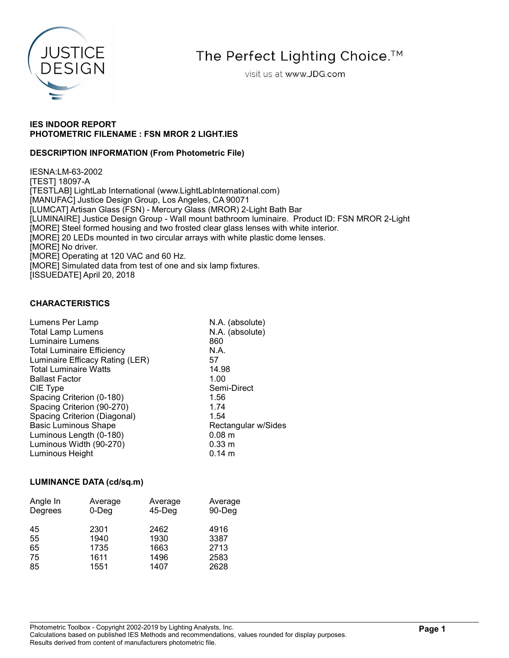

The Perfect Lighting Choice.<sup>™</sup>

visit us at www.JDG.com

## IES INDOOR REPORT PHOTOMETRIC FILENAME : FSN MROR 2 LIGHT.IES

## DESCRIPTION INFORMATION (From Photometric File)

IESNA:LM-63-2002 [TEST] 18097-A [TESTLAB] LightLab International (www.LightLabInternational.com) [MANUFAC] Justice Design Group, Los Angeles, CA 90071 [LUMCAT] Artisan Glass (FSN) - Mercury Glass (MROR) 2-Light Bath Bar [LUMINAIRE] Justice Design Group - Wall mount bathroom luminaire. Product ID: FSN MROR 2-Light [MORE] Steel formed housing and two frosted clear glass lenses with white interior. [MORE] 20 LEDs mounted in two circular arrays with white plastic dome lenses. [MORE] No driver. [MORE] Operating at 120 VAC and 60 Hz. [MORE] Simulated data from test of one and six lamp fixtures. [ISSUEDATE] April 20, 2018

## CHARACTERISTICS

| Lumens Per Lamp                   | N.A. (absolute)     |
|-----------------------------------|---------------------|
| <b>Total Lamp Lumens</b>          | N.A. (absolute)     |
| <b>Luminaire Lumens</b>           | 860                 |
| <b>Total Luminaire Efficiency</b> | N.A.                |
| Luminaire Efficacy Rating (LER)   | 57                  |
| <b>Total Luminaire Watts</b>      | 14.98               |
| <b>Ballast Factor</b>             | 1.00                |
| CIE Type                          | Semi-Direct         |
| Spacing Criterion (0-180)         | 1.56                |
| Spacing Criterion (90-270)        | 1.74                |
| Spacing Criterion (Diagonal)      | 1.54                |
| <b>Basic Luminous Shape</b>       | Rectangular w/Sides |
| Luminous Length (0-180)           | 0.08 <sub>m</sub>   |
| Luminous Width (90-270)           | 0.33 m              |
| Luminous Height                   | $0.14 \; m$         |
|                                   |                     |

## LUMINANCE DATA (cd/sq.m)

| Angle In | Average  | Average   | Average |
|----------|----------|-----------|---------|
| Degrees  | $0$ -Deg | $45$ -Deg | 90-Deg  |
| 45       | 2301     | 2462      | 4916    |
| 55       | 1940     | 1930      | 3387    |
| 65       | 1735     | 1663      | 2713    |
| 75       | 1611     | 1496      | 2583    |
| 85       | 1551     | 1407      | 2628    |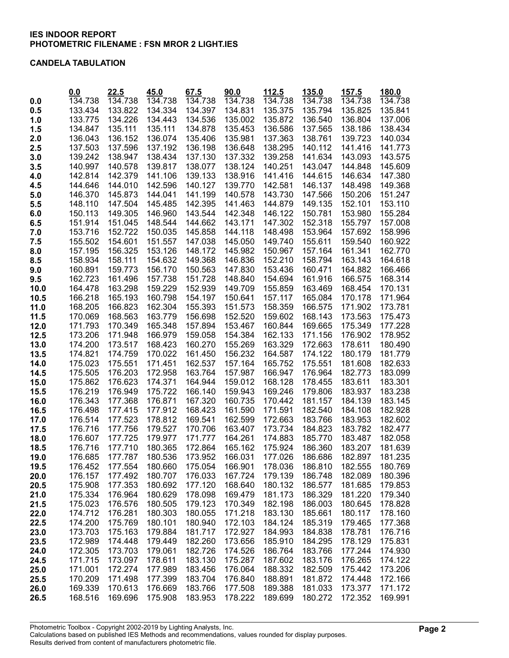#### CANDELA TABULATION

|              | 0.0                | 22.5               | 45.0               | 67.5               | 90.0               | 112.5              | 135.0              | 157.5              | 180.0              |
|--------------|--------------------|--------------------|--------------------|--------------------|--------------------|--------------------|--------------------|--------------------|--------------------|
| 0.0          | 134.738            | 134.738            | 134.738            | 134.738            | 134.738            | 134.738            | 134.738            | 134.738            | 134.738            |
| 0.5          | 133.434            | 133.822            | 134.334            | 134.397            | 134.831            | 135.375            | 135.794            | 135.825            | 135.841            |
| 1.0          | 133.775            | 134.226            | 134.443            | 134.536            | 135.002            | 135.872            | 136.540            | 136.804            | 137.006            |
| 1.5          | 134.847            | 135.111            | 135.111            | 134.878            | 135.453            | 136.586            | 137.565            | 138.186            | 138.434            |
| 2.0          | 136.043            | 136.152            | 136.074            | 135.406            | 135.981            | 137.363            | 138.761            | 139.723            | 140.034            |
| 2.5          | 137.503            | 137.596            | 137.192            | 136.198            | 136.648            | 138.295            | 140.112            | 141.416            | 141.773            |
| 3.0          | 139.242            | 138.947            | 138.434            | 137.130            | 137.332            | 139.258            | 141.634            | 143.093            | 143.575            |
| 3.5          | 140.997            | 140.578            | 139.817            | 138.077            | 138.124            | 140.251            | 143.047            | 144.848            | 145.609            |
| 4.0          | 142.814<br>144.646 | 142.379            | 141.106            | 139.133<br>140.127 | 138.916            | 141.416<br>142.581 | 144.615            | 146.634            | 147.380<br>149.368 |
| 4.5          |                    | 144.010            | 142.596            |                    | 139.770            |                    | 146.137            | 148.498            |                    |
| 5.0          | 146.370<br>148.110 | 145.873<br>147.504 | 144.041<br>145.485 | 141.199<br>142.395 | 140.578<br>141.463 | 143.730<br>144.879 | 147.566<br>149.135 | 150.206<br>152.101 | 151.247<br>153.110 |
| 5.5          | 150.113            | 149.305            | 146.960            | 143.544            | 142.348            | 146.122            | 150.781            | 153.980            | 155.284            |
| 6.0<br>6.5   | 151.914            | 151.045            | 148.544            | 144.662            | 143.171            | 147.302            | 152.318            | 155.797            | 157.008            |
| 7.0          | 153.716            | 152.722            | 150.035            | 145.858            | 144.118            | 148.498            | 153.964            | 157.692            | 158.996            |
| 7.5          | 155.502            | 154.601            | 151.557            | 147.038            | 145.050            | 149.740            | 155.611            | 159.540            | 160.922            |
| 8.0          | 157.195            | 156.325            | 153.126            | 148.172            | 145.982            | 150.967            | 157.164            | 161.341            | 162.770            |
| 8.5          | 158.934            | 158.111            | 154.632            | 149.368            | 146.836            | 152.210            | 158.794            | 163.143            | 164.618            |
| 9.0          | 160.891            | 159.773            | 156.170            | 150.563            | 147.830            | 153.436            | 160.471            | 164.882            | 166.466            |
| 9.5          | 162.723            | 161.496            | 157.738            | 151.728            | 148.840            | 154.694            | 161.916            | 166.575            | 168.314            |
| 10.0         | 164.478            | 163.298            | 159.229            | 152.939            | 149.709            | 155.859            | 163.469            | 168.454            | 170.131            |
| 10.5         | 166.218            | 165.193            | 160.798            | 154.197            | 150.641            | 157.117            | 165.084            | 170.178            | 171.964            |
| 11.0         | 168.205            | 166.823            | 162.304            | 155.393            | 151.573            | 158.359            | 166.575            | 171.902            | 173.781            |
| 11.5         | 170.069            | 168.563            | 163.779            | 156.698            | 152.520            | 159.602            | 168.143            | 173.563            | 175.473            |
| 12.0         | 171.793            | 170.349            | 165.348            | 157.894            | 153.467            | 160.844            | 169.665            | 175.349            | 177.228            |
| 12.5         | 173.206            | 171.948            | 166.979            | 159.058            | 154.384            | 162.133            | 171.156            | 176.902            | 178.952            |
| 13.0         | 174.200            | 173.517            | 168.423            | 160.270            | 155.269            | 163.329            | 172.663            | 178.611            | 180.490            |
| 13.5         | 174.821            | 174.759            | 170.022            | 161.450            | 156.232            | 164.587            | 174.122            | 180.179            | 181.779            |
| 14.0         | 175.023            | 175.551            | 171.451            | 162.537            | 157.164            | 165.752            | 175.551            | 181.608            | 182.633            |
| 14.5         | 175.505            | 176.203            | 172.958            | 163.764            | 157.987            | 166.947            | 176.964            | 182.773            | 183.099            |
| 15.0         | 175.862            | 176.623            | 174.371            | 164.944            | 159.012            | 168.128            | 178.455            | 183.611            | 183.301            |
| 15.5         | 176.219            | 176.949            | 175.722            | 166.140            | 159.943            | 169.246            | 179.806            | 183.937            | 183.238            |
| 16.0         | 176.343            | 177.368            | 176.871            | 167.320            | 160.735            | 170.442            | 181.157            | 184.139            | 183.145            |
| 16.5         | 176.498            | 177.415            | 177.912            | 168.423            | 161.590            | 171.591            | 182.540            | 184.108            | 182.928            |
| 17.0         | 176.514            | 177.523            | 178.812            | 169.541            | 162.599            | 172.663            | 183.766            | 183.953            | 182.602            |
| 17.5<br>18.0 | 176.716<br>176.607 | 177.756<br>177.725 | 179.527<br>179.977 | 170.706<br>171.777 | 163.407<br>164.261 | 173.734<br>174.883 | 184.823<br>185.770 | 183.782<br>183.487 | 182.477<br>182.058 |
| 18.5         | 176.716            | 177.710            | 180.365            | 172.864            | 165.162            | 175.924            | 186.360            | 183.207            | 181.639            |
| 19.0         | 176.685            | 177.787            | 180.536            | 173.952            | 166.031            | 177.026            | 186.686            | 182.897            | 181.235            |
| 19.5         | 176.452            | 177.554            | 180.660            | 175.054            | 166.901            | 178.036            | 186.810            | 182.555            | 180.769            |
| 20.0         | 176.157            | 177.492            | 180.707            | 176.033            | 167.724            | 179.139            | 186.748            | 182.089            | 180.396            |
| 20.5         | 175.908            | 177.353            | 180.692            | 177.120            | 168.640            | 180.132            | 186.577            | 181.685            | 179.853            |
| 21.0         | 175.334            | 176.964            | 180.629            | 178.098            | 169.479            | 181.173            | 186.329            | 181.220            | 179.340            |
| 21.5         | 175.023            | 176.576            | 180.505            | 179.123            | 170.349            | 182.198            | 186.003            | 180.645            | 178.828            |
| 22.0         | 174.712            | 176.281            | 180.303            | 180.055            | 171.218            | 183.130            | 185.661            | 180.117            | 178.160            |
| 22.5         | 174.200            | 175.769            | 180.101            | 180.940            | 172.103            | 184.124            | 185.319            | 179.465            | 177.368            |
| 23.0         | 173.703            | 175.163            | 179.884            | 181.717            | 172.927            | 184.993            | 184.838            | 178.781            | 176.716            |
| 23.5         | 172.989            | 174.448            | 179.449            | 182.260            | 173.656            | 185.910            | 184.295            | 178.129            | 175.831            |
| 24.0         | 172.305            | 173.703            | 179.061            | 182.726            | 174.526            | 186.764            | 183.766            | 177.244            | 174.930            |
| 24.5         | 171.715            | 173.097            | 178.611            | 183.130            | 175.287            | 187.602            | 183.176            | 176.265            | 174.122            |
| 25.0         | 171.001            | 172.274            | 177.989            | 183.456            | 176.064            | 188.332            | 182.509            | 175.442            | 173.206            |
| 25.5         | 170.209            | 171.498            | 177.399            | 183.704            | 176.840            | 188.891            | 181.872            | 174.448            | 172.166            |
| 26.0         | 169.339            | 170.613            | 176.669            | 183.766            | 177.508            | 189.388            | 181.033            | 173.377            | 171.172            |
| 26.5         | 168.516            | 169.696            | 175.908            | 183.953            | 178.222            | 189.699            | 180.272            | 172.352            | 169.991            |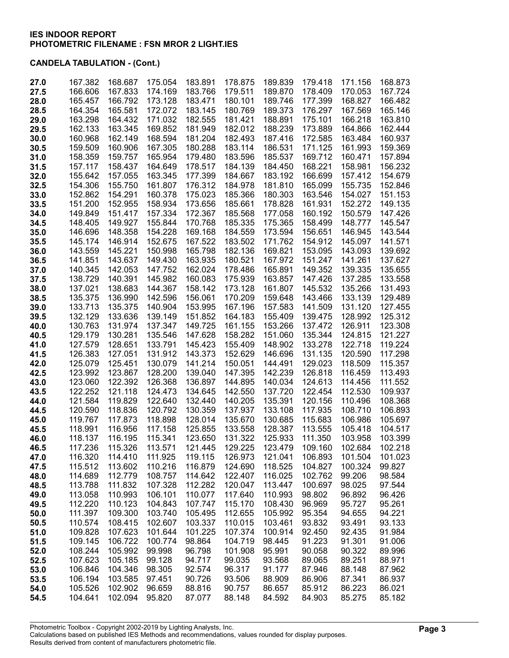| 27.0 | 167.382 | 168.687 | 175.054 | 183.891 | 178.875 | 189.839 | 179.418 | 171.156 | 168.873 |
|------|---------|---------|---------|---------|---------|---------|---------|---------|---------|
| 27.5 | 166.606 | 167.833 | 174.169 | 183.766 | 179.511 | 189.870 | 178.409 | 170.053 | 167.724 |
| 28.0 | 165.457 | 166.792 | 173.128 | 183.471 | 180.101 | 189.746 | 177.399 | 168.827 | 166.482 |
| 28.5 | 164.354 | 165.581 | 172.072 | 183.145 | 180.769 | 189.373 | 176.297 | 167.569 | 165.146 |
| 29.0 | 163.298 | 164.432 | 171.032 | 182.555 | 181.421 | 188.891 | 175.101 | 166.218 | 163.810 |
| 29.5 | 162.133 | 163.345 | 169.852 | 181.949 | 182.012 | 188.239 | 173.889 | 164.866 | 162.444 |
| 30.0 | 160.968 | 162.149 | 168.594 | 181.204 | 182.493 | 187.416 | 172.585 | 163.484 | 160.937 |
| 30.5 | 159.509 | 160.906 | 167.305 | 180.288 | 183.114 | 186.531 | 171.125 | 161.993 | 159.369 |
| 31.0 | 158.359 | 159.757 | 165.954 | 179.480 | 183.596 | 185.537 | 169.712 | 160.471 | 157.894 |
| 31.5 | 157.117 | 158.437 | 164.649 | 178.517 | 184.139 | 184.450 | 168.221 | 158.981 | 156.232 |
| 32.0 | 155.642 | 157.055 | 163.345 | 177.399 | 184.667 | 183.192 | 166.699 | 157.412 | 154.679 |
| 32.5 | 154.306 | 155.750 | 161.807 | 176.312 | 184.978 | 181.810 | 165.099 | 155.735 | 152.846 |
| 33.0 | 152.862 | 154.291 | 160.378 | 175.023 | 185.366 | 180.303 | 163.546 | 154.027 | 151.153 |
| 33.5 | 151.200 | 152.955 | 158.934 | 173.656 | 185.661 | 178.828 | 161.931 | 152.272 | 149.135 |
| 34.0 | 149.849 | 151.417 | 157.334 | 172.367 | 185.568 | 177.058 | 160.192 | 150.579 | 147.426 |
| 34.5 | 148.405 | 149.927 | 155.844 | 170.768 | 185.335 | 175.365 | 158.499 | 148.777 | 145.547 |
| 35.0 | 146.696 | 148.358 | 154.228 | 169.168 | 184.559 | 173.594 | 156.651 | 146.945 | 143.544 |
| 35.5 | 145.174 | 146.914 | 152.675 | 167.522 | 183.502 | 171.762 | 154.912 | 145.097 | 141.571 |
| 36.0 | 143.559 | 145.221 | 150.998 | 165.798 | 182.136 | 169.821 | 153.095 | 143.093 | 139.692 |
| 36.5 | 141.851 | 143.637 | 149.430 | 163.935 | 180.521 | 167.972 | 151.247 | 141.261 | 137.627 |
| 37.0 | 140.345 | 142.053 | 147.752 | 162.024 | 178.486 | 165.891 | 149.352 | 139.335 | 135.655 |
| 37.5 | 138.729 | 140.391 | 145.982 | 160.083 | 175.939 | 163.857 | 147.426 | 137.285 | 133.558 |
| 38.0 | 137.021 | 138.683 | 144.367 | 158.142 | 173.128 | 161.807 | 145.532 | 135.266 | 131.493 |
| 38.5 | 135.375 | 136.990 | 142.596 | 156.061 | 170.209 | 159.648 | 143.466 | 133.139 | 129.489 |
| 39.0 | 133.713 | 135.375 | 140.904 | 153.995 | 167.196 | 157.583 | 141.509 | 131.120 | 127.455 |
| 39.5 | 132.129 | 133.636 | 139.149 | 151.852 | 164.183 | 155.409 | 139.475 | 128.992 | 125.312 |
| 40.0 | 130.763 | 131.974 | 137.347 | 149.725 | 161.155 | 153.266 | 137.472 | 126.911 | 123.308 |
| 40.5 | 129.179 | 130.281 | 135.546 | 147.628 | 158.282 | 151.060 | 135.344 | 124.815 | 121.227 |
| 41.0 | 127.579 | 128.651 | 133.791 | 145.423 | 155.409 | 148.902 | 133.278 | 122.718 | 119.224 |
| 41.5 | 126.383 | 127.051 | 131.912 | 143.373 | 152.629 | 146.696 | 131.135 | 120.590 | 117.298 |
| 42.0 | 125.079 | 125.451 | 130.079 | 141.214 | 150.051 | 144.491 | 129.023 | 118.509 | 115.357 |
| 42.5 | 123.992 | 123.867 | 128.200 | 139.040 | 147.395 | 142.239 | 126.818 | 116.459 | 113.493 |
| 43.0 | 123.060 | 122.392 | 126.368 | 136.897 | 144.895 | 140.034 | 124.613 | 114.456 | 111.552 |
| 43.5 | 122.252 | 121.118 | 124.473 | 134.645 | 142.550 | 137.720 | 122.454 | 112.530 | 109.937 |
| 44.0 | 121.584 | 119.829 | 122.640 | 132.440 | 140.205 | 135.391 | 120.156 | 110.496 | 108.368 |
| 44.5 | 120.590 | 118.836 | 120.792 | 130.359 | 137.937 | 133.108 | 117.935 | 108.710 | 106.893 |
| 45.0 | 119.767 | 117.873 | 118.898 | 128.014 | 135.670 | 130.685 | 115.683 | 106.986 | 105.697 |
| 45.5 | 118.991 | 116.956 | 117.158 | 125.855 | 133.558 | 128.387 | 113.555 | 105.418 | 104.517 |
| 46.0 | 118.137 | 116.195 | 115.341 | 123.650 | 131.322 | 125.933 | 111.350 | 103.958 | 103.399 |
| 46.5 | 117.236 | 115.326 | 113.571 | 121.445 | 129.225 | 123.479 | 109.160 | 102.684 | 102.218 |
| 47.0 | 116.320 | 114.410 | 111.925 | 119.115 | 126.973 | 121.041 | 106.893 | 101.504 | 101.023 |
| 47.5 | 115.512 | 113.602 | 110.216 | 116.879 | 124.690 | 118.525 | 104.827 | 100.324 | 99.827  |
| 48.0 | 114.689 | 112.779 | 108.757 | 114.642 | 122.407 | 116.025 | 102.762 | 99.206  | 98.584  |
| 48.5 | 113.788 | 111.832 | 107.328 | 112.282 | 120.047 | 113.447 | 100.697 | 98.025  | 97.544  |
| 49.0 | 113.058 | 110.993 | 106.101 | 110.077 | 117.640 | 110.993 | 98.802  | 96.892  | 96.426  |
| 49.5 | 112.220 | 110.123 | 104.843 | 107.747 | 115.170 | 108.430 | 96.969  | 95.727  | 95.261  |
| 50.0 | 111.397 | 109.300 | 103.740 | 105.495 | 112.655 | 105.992 | 95.354  | 94.655  | 94.221  |
| 50.5 | 110.574 | 108.415 | 102.607 | 103.337 | 110.015 | 103.461 | 93.832  | 93.491  | 93.133  |
| 51.0 | 109.828 | 107.623 | 101.644 | 101.225 | 107.374 | 100.914 | 92.450  | 92.435  | 91.984  |
| 51.5 | 109.145 | 106.722 | 100.774 | 98.864  | 104.719 | 98.445  | 91.223  | 91.301  | 91.006  |
| 52.0 | 108.244 | 105.992 | 99.998  | 96.798  | 101.908 | 95.991  | 90.058  | 90.322  | 89.996  |
| 52.5 | 107.623 | 105.185 | 99.128  | 94.717  | 99.035  | 93.568  | 89.065  | 89.251  | 88.971  |
| 53.0 | 106.846 | 104.346 | 98.305  | 92.574  | 96.317  | 91.177  | 87.946  | 88.148  | 87.962  |
| 53.5 | 106.194 | 103.585 | 97.451  | 90.726  | 93.506  | 88.909  | 86.906  | 87.341  | 86.937  |
| 54.0 | 105.526 | 102.902 | 96.659  | 88.816  | 90.757  | 86.657  | 85.912  | 86.223  | 86.021  |
| 54.5 | 104.641 | 102.094 | 95.820  | 87.077  | 88.148  | 84.592  | 84.903  | 85.275  | 85.182  |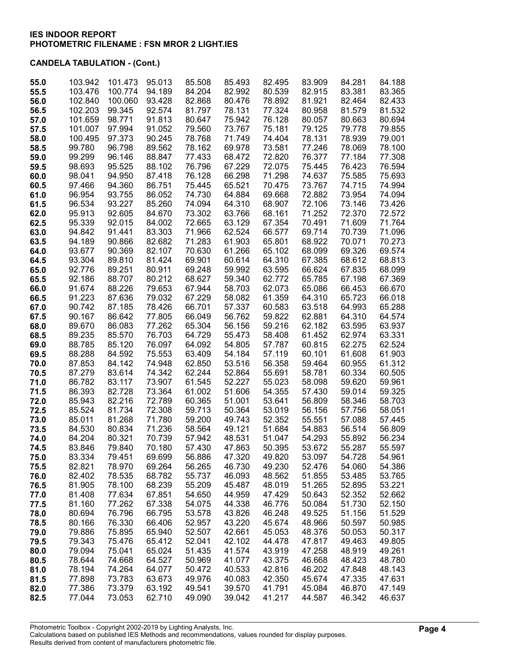| 55.0         | 103.942          | 101.473          | 95.013           | 85.508           | 85.493           | 82.495           | 83.909           | 84.281           | 84.188           |
|--------------|------------------|------------------|------------------|------------------|------------------|------------------|------------------|------------------|------------------|
| 55.5         | 103.476          | 100.774          | 94.189           | 84.204           | 82.992           | 80.539           | 82.915           | 83.381           | 83.365           |
| 56.0         | 102.840          | 100.060          | 93.428           | 82.868           | 80.476           | 78.892           | 81.921           | 82.464           | 82.433           |
| 56.5         | 102.203          | 99.345           | 92.574           | 81.797           | 78.131           | 77.324           | 80.958           | 81.579           | 81.532           |
| 57.0         | 101.659          | 98.771           | 91.813           | 80.647           | 75.942           | 76.128           | 80.057           | 80.663           | 80.694           |
| 57.5         | 101.007          | 97.994           | 91.052           | 79.560           | 73.767           | 75.181           | 79.125           | 79.778           | 79.855           |
| 58.0         | 100.495          | 97.373           | 90.245           | 78.768           | 71.749           | 74.404           | 78.131           | 78.939           | 79.001           |
| 58.5         | 99.780           | 96.798           | 89.562           | 78.162           | 69.978           | 73.581           | 77.246           | 78.069           | 78.100           |
| 59.0         | 99.299           | 96.146           | 88.847           | 77.433           | 68.472           | 72.820           | 76.377           | 77.184           | 77.308           |
| 59.5         | 98.693           | 95.525           | 88.102           | 76.796           | 67.229           | 72.075           | 75.445           | 76.423           | 76.594           |
| 60.0         | 98.041           | 94.950           | 87.418           | 76.128           | 66.298           | 71.298           | 74.637           | 75.585           | 75.693           |
| 60.5         | 97.466           | 94.360           | 86.751           | 75.445           | 65.521           | 70.475           | 73.767           | 74.715           | 74.994           |
| 61.0         | 96.954           | 93.755           | 86.052           | 74.730           | 64.884           | 69.668           | 72.882           | 73.954           | 74.094           |
| 61.5         | 96.534           | 93.227           | 85.260           | 74.094           | 64.310           | 68.907           | 72.106           | 73.146           | 73.426           |
| 62.0         | 95.913           | 92.605           | 84.670           | 73.302           | 63.766           | 68.161           | 71.252           | 72.370           | 72.572           |
| 62.5         | 95.339           | 92.015           | 84.002           | 72.665           | 63.129           | 67.354           | 70.491           | 71.609           | 71.764           |
| 63.0         | 94.842           | 91.441           | 83.303           | 71.966           | 62.524           | 66.577           | 69.714           | 70.739           | 71.096           |
| 63.5         | 94.189           | 90.866           | 82.682           | 71.283           | 61.903           | 65.801           | 68.922           | 70.071           | 70.273           |
| 64.0         | 93.677           | 90.369           | 82.107           | 70.630<br>69.901 | 61.266           | 65.102           | 68.099           | 69.326           | 69.574           |
| 64.5         | 93.304           | 89.810<br>89.251 | 81.424           | 69.248           | 60.614<br>59.992 | 64.310           | 67.385           | 68.612           | 68.813           |
| 65.0<br>65.5 | 92.776<br>92.186 | 88.707           | 80.911<br>80.212 | 68.627           | 59.340           | 63.595<br>62.772 | 66.624<br>65.785 | 67.835<br>67.198 | 68.099<br>67.369 |
| 66.0         | 91.674           | 88.226           | 79.653           | 67.944           | 58.703           | 62.073           | 65.086           | 66.453           | 66.670           |
| 66.5         | 91.223           | 87.636           | 79.032           | 67.229           | 58.082           | 61.359           | 64.310           | 65.723           | 66.018           |
| 67.0         | 90.742           | 87.185           | 78.426           | 66.701           | 57.337           | 60.583           | 63.518           | 64.993           | 65.288           |
| 67.5         | 90.167           | 86.642           | 77.805           | 66.049           | 56.762           | 59.822           | 62.881           | 64.310           | 64.574           |
| 68.0         | 89.670           | 86.083           | 77.262           | 65.304           | 56.156           | 59.216           | 62.182           | 63.595           | 63.937           |
| 68.5         | 89.235           | 85.570           | 76.703           | 64.729           | 55.473           | 58.408           | 61.452           | 62.974           | 63.331           |
| 69.0         | 88.785           | 85.120           | 76.097           | 64.092           | 54.805           | 57.787           | 60.815           | 62.275           | 62.524           |
| 69.5         | 88.288           | 84.592           | 75.553           | 63.409           | 54.184           | 57.119           | 60.101           | 61.608           | 61.903           |
| 70.0         | 87.853           | 84.142           | 74.948           | 62.850           | 53.516           | 56.358           | 59.464           | 60.955           | 61.312           |
| 70.5         | 87.279           | 83.614           | 74.342           | 62.244           | 52.864           | 55.691           | 58.781           | 60.334           | 60.505           |
| 71.0         | 86.782           | 83.117           | 73.907           | 61.545           | 52.227           | 55.023           | 58.098           | 59.620           | 59.961           |
| 71.5         | 86.393           | 82.728           | 73.364           | 61.002           | 51.606           | 54.355           | 57.430           | 59.014           | 59.325           |
| 72.0         | 85.943           | 82.216           | 72.789           | 60.365           | 51.001           | 53.641           | 56.809           | 58.346           | 58.703           |
| 72.5         | 85.524           | 81.734           | 72.308           | 59.713           | 50.364           | 53.019           | 56.156           | 57.756           | 58.051           |
| 73.0         | 85.011           | 81.268           | 71.780           | 59.200           | 49.743           | 52.352           | 55.551           | 57.088           | 57.445           |
| 73.5         | 84.530           | 80.834           | 71.236           | 58.564           | 49.121           | 51.684           | 54.883           | 56.514           | 56.809           |
| 74.0         | 84.204           | 80.321           | 70.739           | 57.942           | 48.531           | 51.047           | 54.293           | 55.892           | 56.234           |
| 74.5         | 83.846           | 79.840           | 70.180           | 57.430           | 47.863           | 50.395           | 53.672           | 55.287           | 55.597           |
| 75.0         | 83.334           | 79.451           | 69.699           | 56.886           | 47.320           | 49.820           | 53.097           | 54.728           | 54.961           |
| 75.5         | 82.821           | 78.970           | 69.264           | 56.265           | 46.730           | 49.230           | 52.476           | 54.060           | 54.386           |
| 76.0         | 82.402           | 78.535           | 68.782           | 55.737           | 46.093           | 48.562           | 51.855           | 53.485           | 53.765           |
| 76.5         | 81.905           | 78.100           | 68.239           | 55.209           | 45.487           | 48.019           | 51.265           | 52.895           | 53.221           |
| 77.0         | 81.408           | 77.634           | 67.851           | 54.650           | 44.959           | 47.429           | 50.643           | 52.352           | 52.662           |
| 77.5         | 81.160           | 77.262           | 67.338           | 54.075           | 44.338           | 46.776           | 50.084           | 51.730           | 52.150           |
| 78.0         | 80.694           | 76.796           | 66.795           | 53.578           | 43.826           | 46.248           | 49.525           | 51.156           | 51.529           |
| 78.5         | 80.166           | 76.330           | 66.406           | 52.957           | 43.220           | 45.674           | 48.966           | 50.597           | 50.985           |
| 79.0         | 79.886           | 75.895           | 65.940           | 52.507           | 42.661           | 45.053           | 48.376           | 50.053           | 50.317           |
| 79.5         | 79.343           | 75.476           | 65.412           | 52.041           | 42.102           | 44.478           | 47.817           | 49.463           | 49.805           |
| 80.0         | 79.094<br>78.644 | 75.041<br>74.668 | 65.024<br>64.527 | 51.435<br>50.969 | 41.574<br>41.077 | 43.919<br>43.375 | 47.258<br>46.668 | 48.919<br>48.423 | 49.261<br>48.780 |
| 80.5<br>81.0 | 78.194           | 74.264           | 64.077           | 50.472           | 40.533           | 42.816           | 46.202           | 47.848           | 48.143           |
| 81.5         | 77.898           | 73.783           | 63.673           | 49.976           | 40.083           | 42.350           | 45.674           | 47.335           | 47.631           |
| 82.0         | 77.386           | 73.379           | 63.192           | 49.541           | 39.570           | 41.791           | 45.084           | 46.870           | 47.149           |
| 82.5         | 77.044           | 73.053           | 62.710           | 49.090           | 39.042           | 41.217           | 44.587           | 46.342           | 46.637           |
|              |                  |                  |                  |                  |                  |                  |                  |                  |                  |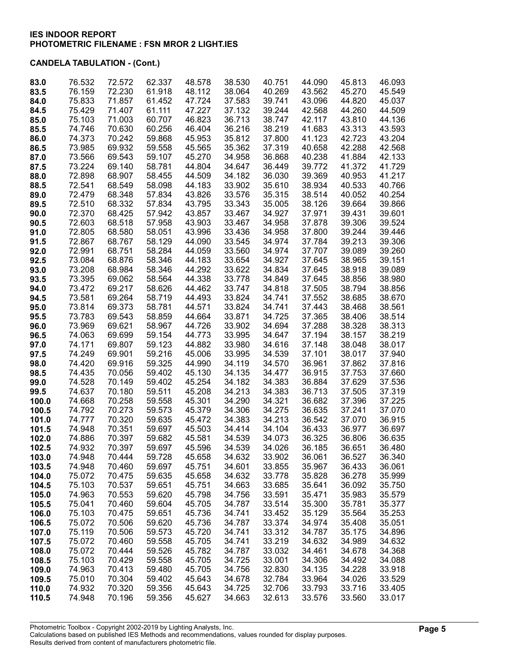| 83.0  | 76.532 | 72.572 | 62.337 | 48.578           | 38.530 | 40.751 | 44.090 | 45.813 | 46.093           |
|-------|--------|--------|--------|------------------|--------|--------|--------|--------|------------------|
| 83.5  | 76.159 | 72.230 | 61.918 | 48.112           | 38.064 | 40.269 | 43.562 | 45.270 | 45.549           |
| 84.0  | 75.833 | 71.857 | 61.452 | 47.724           | 37.583 | 39.741 | 43.096 | 44.820 | 45.037           |
| 84.5  | 75.429 | 71.407 | 61.111 | 47.227           | 37.132 | 39.244 | 42.568 | 44.260 | 44.509           |
| 85.0  | 75.103 | 71.003 | 60.707 | 46.823           | 36.713 | 38.747 | 42.117 | 43.810 | 44.136           |
| 85.5  | 74.746 | 70.630 | 60.256 | 46.404           | 36.216 | 38.219 | 41.683 | 43.313 | 43.593           |
| 86.0  | 74.373 | 70.242 | 59.868 | 45.953           | 35.812 | 37.800 | 41.123 | 42.723 | 43.204           |
| 86.5  | 73.985 | 69.932 | 59.558 | 45.565           | 35.362 | 37.319 | 40.658 | 42.288 | 42.568           |
| 87.0  | 73.566 | 69.543 | 59.107 | 45.270           | 34.958 | 36.868 | 40.238 | 41.884 | 42.133           |
| 87.5  | 73.224 | 69.140 | 58.781 | 44.804           | 34.647 | 36.449 | 39.772 | 41.372 | 41.729           |
| 88.0  | 72.898 | 68.907 | 58.455 | 44.509           | 34.182 | 36.030 | 39.369 | 40.953 | 41.217           |
| 88.5  | 72.541 | 68.549 | 58.098 | 44.183           | 33.902 | 35.610 | 38.934 | 40.533 | 40.766           |
| 89.0  | 72.479 | 68.348 | 57.834 | 43.826           | 33.576 | 35.315 | 38.514 | 40.052 | 40.254           |
| 89.5  | 72.510 | 68.332 | 57.834 | 43.795           | 33.343 | 35.005 | 38.126 | 39.664 | 39.866           |
| 90.0  | 72.370 | 68.425 | 57.942 | 43.857           | 33.467 | 34.927 | 37.971 | 39.431 | 39.601           |
| 90.5  | 72.603 | 68.518 | 57.958 | 43.903           | 33.467 | 34.958 | 37.878 | 39.306 | 39.524           |
| 91.0  | 72.805 | 68.580 | 58.051 | 43.996           | 33.436 | 34.958 | 37.800 | 39.244 | 39.446           |
| 91.5  | 72.867 | 68.767 | 58.129 | 44.090           | 33.545 | 34.974 | 37.784 | 39.213 | 39.306           |
| 92.0  | 72.991 | 68.751 | 58.284 | 44.059           | 33.560 | 34.974 | 37.707 | 39.089 | 39.260           |
| 92.5  | 73.084 | 68.876 | 58.346 | 44.183           | 33.654 | 34.927 | 37.645 | 38.965 | 39.151           |
| 93.0  | 73.208 | 68.984 | 58.346 | 44.292           | 33.622 | 34.834 | 37.645 | 38.918 | 39.089           |
| 93.5  | 73.395 | 69.062 | 58.564 | 44.338           | 33.778 | 34.849 | 37.645 | 38.856 | 38.980           |
| 94.0  | 73.472 | 69.217 | 58.626 | 44.462           | 33.747 | 34.818 | 37.505 | 38.794 | 38.856           |
| 94.5  | 73.581 | 69.264 | 58.719 | 44.493           | 33.824 | 34.741 | 37.552 | 38.685 | 38.670           |
| 95.0  | 73.814 | 69.373 | 58.781 | 44.571           | 33.824 | 34.741 | 37.443 | 38.468 | 38.561           |
| 95.5  | 73.783 | 69.543 | 58.859 | 44.664           | 33.871 | 34.725 | 37.365 | 38.406 | 38.514           |
| 96.0  | 73.969 | 69.621 | 58.967 | 44.726           | 33.902 | 34.694 | 37.288 | 38.328 | 38.313           |
| 96.5  | 74.063 | 69.699 | 59.154 | 44.773           | 33.995 | 34.647 | 37.194 | 38.157 | 38.219           |
| 97.0  | 74.171 | 69.807 | 59.123 | 44.882           | 33.980 | 34.616 | 37.148 | 38.048 | 38.017           |
| 97.5  | 74.249 | 69.901 | 59.216 | 45.006           | 33.995 | 34.539 | 37.101 | 38.017 | 37.940           |
| 98.0  | 74.420 | 69.916 | 59.325 | 44.990           | 34.119 | 34.570 | 36.961 | 37.862 | 37.816           |
| 98.5  | 74.435 | 70.056 | 59.402 | 45.130           | 34.135 | 34.477 | 36.915 | 37.753 | 37.660           |
| 99.0  | 74.528 | 70.149 | 59.402 | 45.254           | 34.182 | 34.383 | 36.884 | 37.629 | 37.536           |
| 99.5  | 74.637 | 70.180 | 59.511 | 45.208           | 34.213 | 34.383 | 36.713 | 37.505 | 37.319           |
| 100.0 | 74.668 | 70.258 | 59.558 | 45.301           | 34.290 | 34.321 | 36.682 | 37.396 | 37.225           |
| 100.5 | 74.792 | 70.273 | 59.573 | 45.379           | 34.306 | 34.275 | 36.635 | 37.241 | 37.070           |
| 101.0 | 74.777 | 70.320 | 59.635 | 45.472           | 34.383 | 34.213 | 36.542 | 37.070 | 36.915           |
| 101.5 | 74.948 | 70.351 | 59.697 | 45.503           | 34.414 | 34.104 | 36.433 | 36.977 | 36.697           |
| 102.0 | 74.886 | 70.397 | 59.682 | 45.581           | 34.539 | 34.073 | 36.325 | 36.806 | 36.635           |
| 102.5 | 74.932 | 70.397 | 59.697 | 45.596           | 34.539 | 34.026 | 36.185 | 36.651 | 36.480           |
| 103.0 | 74.948 | 70.444 | 59.728 | 45.658           | 34.632 | 33.902 | 36.061 | 36.527 | 36.340           |
| 103.5 | 74.948 | 70.460 | 59.697 | 45.751           | 34.601 | 33.855 | 35.967 | 36.433 | 36.061           |
| 104.0 | 75.072 | 70.475 | 59.635 | 45.658           | 34.632 | 33.778 | 35.828 | 36.278 | 35.999           |
| 104.5 | 75.103 | 70.537 | 59.651 | 45.751           | 34.663 | 33.685 | 35.641 | 36.092 | 35.750           |
| 105.0 | 74.963 | 70.553 | 59.620 | 45.798           | 34.756 | 33.591 | 35.471 | 35.983 | 35.579           |
| 105.5 | 75.041 | 70.460 | 59.604 | 45.705           | 34.787 | 33.514 | 35.300 | 35.781 | 35.377           |
| 106.0 | 75.103 | 70.475 | 59.651 | 45.736           | 34.741 | 33.452 | 35.129 | 35.564 | 35.253           |
| 106.5 | 75.072 | 70.506 | 59.620 | 45.736           | 34.787 | 33.374 | 34.974 | 35.408 | 35.051           |
| 107.0 | 75.119 | 70.506 | 59.573 | 45.720           | 34.741 | 33.312 | 34.787 | 35.175 | 34.896           |
| 107.5 | 75.072 | 70.460 | 59.558 | 45.705           | 34.741 | 33.219 | 34.632 | 34.989 | 34.632           |
| 108.0 | 75.072 | 70.444 | 59.526 | 45.782           | 34.787 | 33.032 | 34.461 | 34.678 | 34.368           |
| 108.5 | 75.103 | 70.429 | 59.558 | 45.705           | 34.725 | 33.001 | 34.306 | 34.492 | 34.088<br>33.918 |
| 109.0 | 74.963 | 70.413 | 59.480 | 45.705           | 34.756 | 32.830 | 34.135 | 34.228 |                  |
| 109.5 | 75.010 | 70.304 | 59.402 | 45.643<br>45.643 | 34.678 | 32.784 | 33.964 | 34.026 | 33.529           |
| 110.0 | 74.932 | 70.320 | 59.356 |                  | 34.725 | 32.706 | 33.793 | 33.716 | 33.405           |
| 110.5 | 74.948 | 70.196 | 59.356 | 45.627           | 34.663 | 32.613 | 33.576 | 33.560 | 33.017           |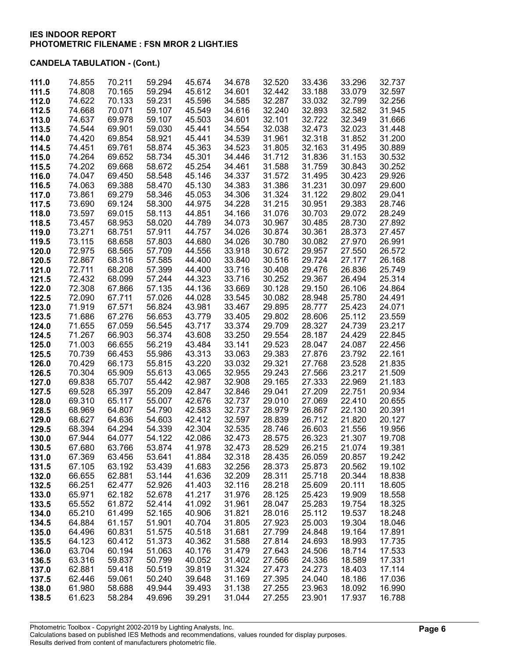| 111.0          | 74.855           | 70.211           | 59.294           | 45.674           | 34.678           | 32.520           | 33.436           | 33.296           | 32.737           |
|----------------|------------------|------------------|------------------|------------------|------------------|------------------|------------------|------------------|------------------|
| 111.5          | 74.808           | 70.165           | 59.294           | 45.612           | 34.601           | 32.442           | 33.188           | 33.079           | 32.597           |
| 112.0          | 74.622           | 70.133           | 59.231           | 45.596           | 34.585           | 32.287           | 33.032           | 32.799           | 32.256           |
| 112.5          | 74.668           | 70.071           | 59.107           | 45.549           | 34.616           | 32.240           | 32.893           | 32.582           | 31.945           |
| 113.0          | 74.637           | 69.978           | 59.107           | 45.503           | 34.601           | 32.101           | 32.722           | 32.349           | 31.666           |
| 113.5          | 74.544           | 69.901           | 59.030           | 45.441           | 34.554           | 32.038           | 32.473           | 32.023           | 31.448           |
| 114.0          | 74.420           | 69.854           | 58.921           | 45.441           | 34.539           | 31.961           | 32.318           | 31.852           | 31.200           |
| 114.5          | 74.451           | 69.761           | 58.874           | 45.363           | 34.523           | 31.805           | 32.163           | 31.495           | 30.889           |
| 115.0          | 74.264           | 69.652           | 58.734           | 45.301           | 34.446           | 31.712           | 31.836           | 31.153           | 30.532           |
| 115.5          | 74.202           | 69.668           | 58.672           | 45.254           | 34.461           | 31.588           | 31.759           | 30.843           | 30.252           |
| 116.0          | 74.047           | 69.450           | 58.548           | 45.146           | 34.337           | 31.572           | 31.495           | 30.423           | 29.926           |
| 116.5          | 74.063           | 69.388           | 58.470           | 45.130           | 34.383           | 31.386           | 31.231           | 30.097           | 29.600           |
| 117.0          | 73.861           | 69.279           | 58.346           | 45.053           | 34.306           | 31.324           | 31.122           | 29.802           | 29.041           |
| 117.5          | 73.690           | 69.124           | 58.300           | 44.975           | 34.228           | 31.215           | 30.951           | 29.383           | 28.746           |
| 118.0          | 73.597           | 69.015           | 58.113           | 44.851           | 34.166           | 31.076           | 30.703           | 29.072           | 28.249           |
| 118.5          | 73.457           | 68.953           | 58.020           | 44.789           | 34.073           | 30.967           | 30.485           | 28.730           | 27.892           |
| 119.0          | 73.271           | 68.751           | 57.911           | 44.757           | 34.026           | 30.874           | 30.361           | 28.373           | 27.457           |
| 119.5          | 73.115           | 68.658           | 57.803           | 44.680           | 34.026           | 30.780           | 30.082           | 27.970           | 26.991           |
| 120.0          | 72.975           | 68.565           | 57.709           | 44.556           | 33.918           | 30.672           | 29.957           | 27.550           | 26.572           |
| 120.5          | 72.867           | 68.316           | 57.585           | 44.400           | 33.840           | 30.516           | 29.724           | 27.177           | 26.168           |
| 121.0          | 72.711           | 68.208           | 57.399           | 44.400           | 33.716           | 30.408           | 29.476           | 26.836           | 25.749           |
| 121.5          | 72.432           | 68.099           | 57.244           | 44.323           | 33.716           | 30.252           | 29.367           | 26.494           | 25.314           |
| 122.0          | 72.308           | 67.866           | 57.135           | 44.136           | 33.669           | 30.128           | 29.150           | 26.106           | 24.864           |
| 122.5          | 72.090           | 67.711           | 57.026           | 44.028           | 33.545           | 30.082           | 28.948           | 25.780           | 24.491           |
| 123.0          | 71.919           | 67.571           | 56.824           | 43.981           | 33.467           | 29.895           | 28.777           | 25.423           | 24.071           |
| 123.5          | 71.686           | 67.276           | 56.653           | 43.779           | 33.405           | 29.802           | 28.606           | 25.112           | 23.559           |
| 124.0          | 71.655           | 67.059           | 56.545           | 43.717           | 33.374           | 29.709           | 28.327           | 24.739           | 23.217           |
| 124.5          | 71.267           | 66.903           | 56.374           | 43.608           | 33.250           | 29.554           | 28.187           | 24.429           | 22.845           |
| 125.0          | 71.003           | 66.655           | 56.219           | 43.484           | 33.141           | 29.523           | 28.047           | 24.087           | 22.456           |
| 125.5          | 70.739           | 66.453           | 55.986           | 43.313           | 33.063           | 29.383           | 27.876           | 23.792           | 22.161           |
| 126.0          | 70.429           | 66.173           | 55.815           | 43.220           | 33.032           | 29.321           | 27.768           | 23.528           | 21.835           |
| 126.5          | 70.304           | 65.909           | 55.613           | 43.065           | 32.955           | 29.243           | 27.566           | 23.217           | 21.509           |
| 127.0          | 69.838           | 65.707           | 55.442           | 42.987           | 32.908           | 29.165           | 27.333           | 22.969           | 21.183           |
| 127.5          | 69.528           | 65.397           | 55.209           | 42.847           | 32.846           | 29.041           | 27.209           | 22.751           | 20.934           |
| 128.0          | 69.310           | 65.117           | 55.007           | 42.676           | 32.737           | 29.010           | 27.069           | 22.410           | 20.655           |
| 128.5          | 68.969           | 64.807           | 54.790           | 42.583           | 32.737           | 28.979           | 26.867           | 22.130           | 20.391           |
| 129.0          | 68.627           | 64.636           | 54.603           | 42.412           | 32.597           | 28.839           | 26.712           | 21.820           | 20.127           |
| 129.5          | 68.394           | 64.294           | 54.339           | 42.304           | 32.535           | 28.746           | 26.603           | 21.556           | 19.956           |
| 130.0          | 67.944           | 64.077           | 54.122           | 42.086           | 32.473           | 28.575           | 26.323           | 21.307           | 19.708           |
| 130.5          | 67.680           | 63.766           | 53.874           | 41.978           | 32.473           | 28.529           | 26.215           | 21.074           | 19.381           |
| 131.0          | 67.369           | 63.456           | 53.641           | 41.884           | 32.318           | 28.435           | 26.059           | 20.857           | 19.242           |
| 131.5          | 67.105           | 63.192           | 53.439           | 41.683           | 32.256           | 28.373           | 25.873           | 20.562           | 19.102           |
| 132.0          | 66.655           | 62.881           | 53.144           | 41.636           | 32.209           | 28.311           | 25.718           | 20.344           | 18.838           |
| 132.5          | 66.251           | 62.477           | 52.926           | 41.403           | 32.116           | 28.218           | 25.609           | 20.111           | 18.605           |
| 133.0          | 65.971           | 62.182           | 52.678           | 41.217           | 31.976           | 28.125           | 25.423           | 19.909           | 18.558           |
| 133.5          | 65.552           | 61.872           | 52.414           | 41.092           | 31.961           | 28.047           | 25.283           | 19.754           | 18.325           |
| 134.0          | 65.210           | 61.499           | 52.165           | 40.906           | 31.821           | 28.016           | 25.112           | 19.537           | 18.248           |
| 134.5          | 64.884           | 61.157           | 51.901           | 40.704           | 31.805           | 27.923           | 25.003           | 19.304           | 18.046           |
| 135.0          | 64.496           | 60.831           | 51.575           | 40.518           | 31.681           | 27.799           | 24.848           | 19.164           | 17.891           |
| 135.5          | 64.123           | 60.412           | 51.373           | 40.362           | 31.588           | 27.814           | 24.693           | 18.993           | 17.735           |
| 136.0          | 63.704           | 60.194           | 51.063           | 40.176           | 31.479<br>31.402 | 27.643           | 24.506<br>24.336 | 18.714           | 17.533           |
| 136.5          | 63.316<br>62.881 | 59.837<br>59.418 | 50.799<br>50.519 | 40.052<br>39.819 | 31.324           | 27.566<br>27.473 | 24.273           | 18.589<br>18.403 | 17.331<br>17.114 |
| 137.0<br>137.5 | 62.446           | 59.061           | 50.240           | 39.648           | 31.169           | 27.395           | 24.040           | 18.186           | 17.036           |
| 138.0          | 61.980           | 58.688           | 49.944           | 39.493           | 31.138           | 27.255           | 23.963           | 18.092           | 16.990           |
| 138.5          | 61.623           | 58.284           | 49.696           | 39.291           | 31.044           | 27.255           | 23.901           | 17.937           | 16.788           |
|                |                  |                  |                  |                  |                  |                  |                  |                  |                  |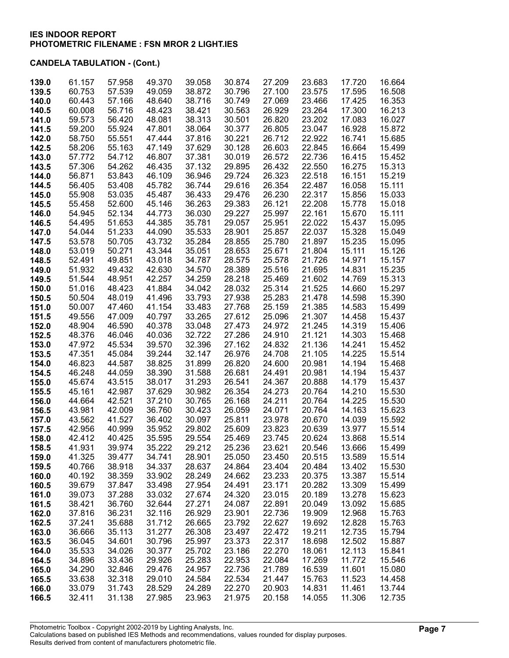| 139.0 | 61.157 | 57.958 | 49.370 | 39.058 | 30.874 | 27.209 | 23.683 | 17.720 | 16.664 |
|-------|--------|--------|--------|--------|--------|--------|--------|--------|--------|
| 139.5 | 60.753 | 57.539 | 49.059 | 38.872 | 30.796 | 27.100 | 23.575 | 17.595 | 16.508 |
| 140.0 | 60.443 | 57.166 | 48.640 | 38.716 | 30.749 | 27.069 | 23.466 | 17.425 | 16.353 |
| 140.5 | 60.008 | 56.716 | 48.423 | 38.421 | 30.563 | 26.929 | 23.264 | 17.300 | 16.213 |
| 141.0 | 59.573 | 56.420 | 48.081 | 38.313 | 30.501 | 26.820 | 23.202 | 17.083 | 16.027 |
| 141.5 | 59.200 | 55.924 | 47.801 | 38.064 | 30.377 | 26.805 | 23.047 | 16.928 | 15.872 |
| 142.0 | 58.750 | 55.551 | 47.444 | 37.816 | 30.221 | 26.712 | 22.922 | 16.741 | 15.685 |
| 142.5 | 58.206 | 55.163 | 47.149 | 37.629 | 30.128 | 26.603 | 22.845 | 16.664 | 15.499 |
| 143.0 | 57.772 | 54.712 | 46.807 | 37.381 | 30.019 | 26.572 | 22.736 | 16.415 | 15.452 |
| 143.5 | 57.306 | 54.262 | 46.435 | 37.132 | 29.895 | 26.432 | 22.550 | 16.275 | 15.313 |
| 144.0 | 56.871 | 53.843 | 46.109 | 36.946 | 29.724 | 26.323 | 22.518 | 16.151 | 15.219 |
| 144.5 | 56.405 | 53.408 | 45.782 | 36.744 | 29.616 | 26.354 | 22.487 | 16.058 | 15.111 |
| 145.0 | 55.908 | 53.035 | 45.487 | 36.433 | 29.476 | 26.230 | 22.317 | 15.856 | 15.033 |
| 145.5 | 55.458 | 52.600 | 45.146 | 36.263 | 29.383 | 26.121 | 22.208 | 15.778 | 15.018 |
| 146.0 | 54.945 | 52.134 | 44.773 | 36.030 | 29.227 | 25.997 | 22.161 | 15.670 | 15.111 |
| 146.5 | 54.495 | 51.653 | 44.385 | 35.781 | 29.057 | 25.951 | 22.022 | 15.437 | 15.095 |
| 147.0 | 54.044 | 51.233 | 44.090 | 35.533 | 28.901 | 25.857 | 22.037 | 15.328 | 15.049 |
| 147.5 | 53.578 | 50.705 | 43.732 | 35.284 | 28.855 | 25.780 | 21.897 | 15.235 | 15.095 |
| 148.0 | 53.019 | 50.271 | 43.344 | 35.051 | 28.653 | 25.671 | 21.804 | 15.111 | 15.126 |
| 148.5 | 52.491 | 49.851 | 43.018 | 34.787 | 28.575 | 25.578 | 21.726 | 14.971 | 15.157 |
| 149.0 | 51.932 | 49.432 | 42.630 | 34.570 | 28.389 | 25.516 | 21.695 | 14.831 | 15.235 |
| 149.5 | 51.544 | 48.951 | 42.257 | 34.259 | 28.218 | 25.469 | 21.602 | 14.769 | 15.313 |
| 150.0 | 51.016 | 48.423 | 41.884 | 34.042 | 28.032 | 25.314 | 21.525 | 14.660 | 15.297 |
| 150.5 | 50.504 | 48.019 | 41.496 | 33.793 | 27.938 | 25.283 | 21.478 | 14.598 | 15.390 |
| 151.0 | 50.007 | 47.460 | 41.154 | 33.483 | 27.768 | 25.159 | 21.385 | 14.583 | 15.499 |
| 151.5 | 49.556 | 47.009 | 40.797 | 33.265 | 27.612 | 25.096 | 21.307 | 14.458 | 15.437 |
| 152.0 | 48.904 | 46.590 | 40.378 | 33.048 | 27.473 | 24.972 | 21.245 | 14.319 | 15.406 |
| 152.5 | 48.376 | 46.046 | 40.036 | 32.722 | 27.286 | 24.910 | 21.121 | 14.303 | 15.468 |
| 153.0 | 47.972 | 45.534 | 39.570 | 32.396 | 27.162 | 24.832 | 21.136 | 14.241 | 15.452 |
| 153.5 | 47.351 | 45.084 | 39.244 | 32.147 | 26.976 | 24.708 | 21.105 | 14.225 | 15.514 |
| 154.0 | 46.823 | 44.587 | 38.825 | 31.899 | 26.820 | 24.600 | 20.981 | 14.194 | 15.468 |
| 154.5 | 46.248 | 44.059 | 38.390 | 31.588 | 26.681 | 24.491 | 20.981 | 14.194 | 15.437 |
| 155.0 | 45.674 | 43.515 | 38.017 | 31.293 | 26.541 | 24.367 | 20.888 | 14.179 | 15.437 |
| 155.5 | 45.161 | 42.987 | 37.629 | 30.982 | 26.354 | 24.273 | 20.764 | 14.210 | 15.530 |
| 156.0 | 44.664 | 42.521 | 37.210 | 30.765 | 26.168 | 24.211 | 20.764 | 14.225 | 15.530 |
| 156.5 | 43.981 | 42.009 | 36.760 | 30.423 | 26.059 | 24.071 | 20.764 | 14.163 | 15.623 |
| 157.0 | 43.562 | 41.527 | 36.402 | 30.097 | 25.811 | 23.978 | 20.670 | 14.039 | 15.592 |
| 157.5 | 42.956 | 40.999 | 35.952 | 29.802 | 25.609 | 23.823 | 20.639 | 13.977 | 15.514 |
| 158.0 | 42.412 | 40.425 | 35.595 | 29.554 | 25.469 | 23.745 | 20.624 | 13.868 | 15.514 |
| 158.5 | 41.931 | 39.974 | 35.222 | 29.212 | 25.236 | 23.621 | 20.546 | 13.666 | 15.499 |
| 159.0 | 41.325 | 39.477 | 34.741 | 28.901 | 25.050 | 23.450 | 20.515 | 13.589 | 15.514 |
| 159.5 | 40.766 | 38.918 | 34.337 | 28.637 | 24.864 | 23.404 | 20.484 | 13.402 | 15.530 |
| 160.0 | 40.192 | 38.359 | 33.902 | 28.249 | 24.662 | 23.233 | 20.375 | 13.387 | 15.514 |
| 160.5 | 39.679 | 37.847 | 33.498 | 27.954 | 24.491 | 23.171 | 20.282 | 13.309 | 15.499 |
| 161.0 | 39.073 | 37.288 | 33.032 | 27.674 | 24.320 | 23.015 | 20.189 | 13.278 | 15.623 |
| 161.5 | 38.421 | 36.760 | 32.644 | 27.271 | 24.087 | 22.891 | 20.049 | 13.092 | 15.685 |
| 162.0 | 37.816 | 36.231 | 32.116 | 26.929 | 23.901 | 22.736 | 19.909 | 12.968 | 15.763 |
| 162.5 | 37.241 | 35.688 | 31.712 | 26.665 | 23.792 | 22.627 | 19.692 | 12.828 | 15.763 |
| 163.0 | 36.666 | 35.113 | 31.277 | 26.308 | 23.497 | 22.472 | 19.211 | 12.735 | 15.794 |
| 163.5 | 36.045 | 34.601 | 30.796 | 25.997 | 23.373 | 22.317 | 18.698 | 12.502 | 15.887 |
| 164.0 | 35.533 | 34.026 | 30.377 | 25.702 | 23.186 | 22.270 | 18.061 | 12.113 | 15.841 |
| 164.5 | 34.896 | 33.436 | 29.926 | 25.283 | 22.953 | 22.084 | 17.269 | 11.772 | 15.546 |
| 165.0 | 34.290 | 32.846 | 29.476 | 24.957 | 22.736 | 21.789 | 16.539 | 11.601 | 15.080 |
| 165.5 | 33.638 | 32.318 | 29.010 | 24.584 | 22.534 | 21.447 | 15.763 | 11.523 | 14.458 |
| 166.0 | 33.079 | 31.743 | 28.529 | 24.289 | 22.270 | 20.903 | 14.831 | 11.461 | 13.744 |
| 166.5 | 32.411 | 31.138 | 27.985 | 23.963 | 21.975 | 20.158 | 14.055 | 11.306 | 12.735 |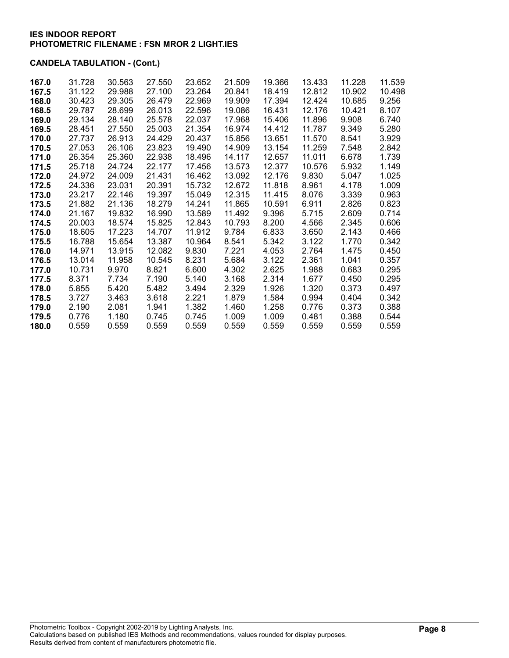| 167.0 | 31.728 | 30.563 | 27.550 | 23.652 | 21.509 | 19.366 | 13.433 | 11.228 | 11.539 |
|-------|--------|--------|--------|--------|--------|--------|--------|--------|--------|
| 167.5 | 31.122 | 29.988 | 27.100 | 23.264 | 20.841 | 18.419 | 12.812 | 10.902 | 10.498 |
| 168.0 | 30.423 | 29.305 | 26.479 | 22.969 | 19.909 | 17.394 | 12.424 | 10.685 | 9.256  |
| 168.5 | 29.787 | 28.699 | 26.013 | 22.596 | 19.086 | 16.431 | 12.176 | 10.421 | 8.107  |
|       | 29.134 | 28.140 | 25.578 |        | 17.968 | 15.406 |        |        | 6.740  |
| 169.0 |        |        |        | 22.037 |        |        | 11.896 | 9.908  |        |
| 169.5 | 28.451 | 27.550 | 25.003 | 21.354 | 16.974 | 14.412 | 11.787 | 9.349  | 5.280  |
| 170.0 | 27.737 | 26.913 | 24.429 | 20.437 | 15.856 | 13.651 | 11.570 | 8.541  | 3.929  |
| 170.5 | 27.053 | 26.106 | 23.823 | 19.490 | 14.909 | 13.154 | 11.259 | 7.548  | 2.842  |
| 171.0 | 26.354 | 25.360 | 22.938 | 18.496 | 14.117 | 12.657 | 11.011 | 6.678  | 1.739  |
| 171.5 | 25.718 | 24.724 | 22.177 | 17.456 | 13.573 | 12.377 | 10.576 | 5.932  | 1.149  |
| 172.0 | 24.972 | 24.009 | 21.431 | 16.462 | 13.092 | 12.176 | 9.830  | 5.047  | 1.025  |
| 172.5 | 24.336 | 23.031 | 20.391 | 15.732 | 12.672 | 11.818 | 8.961  | 4.178  | 1.009  |
| 173.0 | 23.217 | 22.146 | 19.397 | 15.049 | 12.315 | 11.415 | 8.076  | 3.339  | 0.963  |
| 173.5 | 21.882 | 21.136 | 18.279 | 14.241 | 11.865 | 10.591 | 6.911  | 2.826  | 0.823  |
| 174.0 | 21.167 | 19.832 | 16.990 | 13.589 | 11.492 | 9.396  | 5.715  | 2.609  | 0.714  |
| 174.5 | 20.003 | 18.574 | 15.825 | 12.843 | 10.793 | 8.200  | 4.566  | 2.345  | 0.606  |
| 175.0 | 18.605 | 17.223 | 14.707 | 11.912 | 9.784  | 6.833  | 3.650  | 2.143  | 0.466  |
| 175.5 | 16.788 | 15.654 | 13.387 | 10.964 | 8.541  | 5.342  | 3.122  | 1.770  | 0.342  |
| 176.0 | 14.971 | 13.915 | 12.082 | 9.830  | 7.221  | 4.053  | 2.764  | 1.475  | 0.450  |
| 176.5 | 13.014 | 11.958 | 10.545 | 8.231  | 5.684  | 3.122  | 2.361  | 1.041  | 0.357  |
| 177.0 | 10.731 | 9.970  | 8.821  | 6.600  | 4.302  | 2.625  | 1.988  | 0.683  | 0.295  |
| 177.5 | 8.371  | 7.734  | 7.190  | 5.140  | 3.168  | 2.314  | 1.677  | 0.450  | 0.295  |
| 178.0 | 5.855  | 5.420  | 5.482  | 3.494  | 2.329  | 1.926  | 1.320  | 0.373  | 0.497  |
| 178.5 | 3.727  | 3.463  | 3.618  | 2.221  | 1.879  | 1.584  | 0.994  | 0.404  | 0.342  |
| 179.0 | 2.190  | 2.081  | 1.941  | 1.382  | 1.460  | 1.258  | 0.776  | 0.373  | 0.388  |
| 179.5 | 0.776  | 1.180  | 0.745  | 0.745  | 1.009  | 1.009  | 0.481  | 0.388  | 0.544  |
| 180.0 | 0.559  | 0.559  | 0.559  | 0.559  | 0.559  | 0.559  | 0.559  | 0.559  | 0.559  |
|       |        |        |        |        |        |        |        |        |        |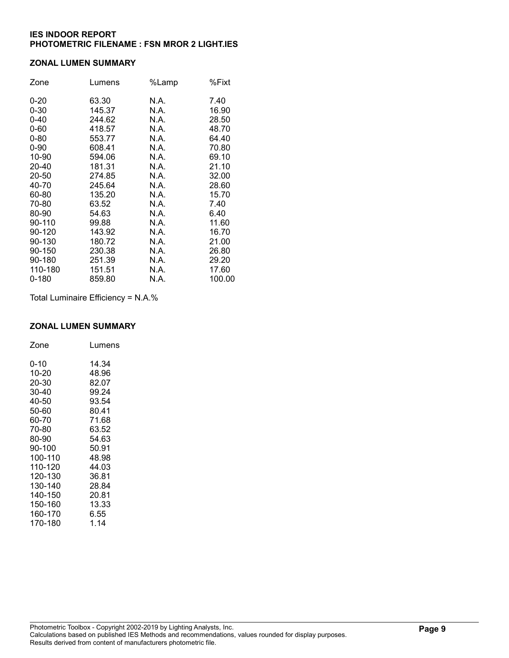#### ZONAL LUMEN SUMMARY

| Zone      | Lumens | %Lamp | %Fixt  |
|-----------|--------|-------|--------|
| $0 - 20$  | 63.30  | N.A.  | 7.40   |
| $0 - 30$  | 145.37 | N.A.  | 16.90  |
| $0 - 40$  | 244.62 | N.A.  | 28.50  |
| $0 - 60$  | 418.57 | N.A.  | 48.70  |
| $0 - 80$  | 553.77 | N.A.  | 64.40  |
| $0 - 90$  | 608.41 | N.A.  | 70.80  |
| 10-90     | 594.06 | N.A.  | 69.10  |
| 20-40     | 181.31 | N.A.  | 21.10  |
| 20-50     | 274.85 | N.A.  | 32.00  |
| 40-70     | 245.64 | N.A.  | 28.60  |
| 60-80     | 135.20 | N.A.  | 15.70  |
| 70-80     | 63.52  | N.A.  | 7.40   |
| 80-90     | 54.63  | N.A.  | 6.40   |
| 90-110    | 99.88  | N.A.  | 11.60  |
| 90-120    | 143.92 | N.A.  | 16.70  |
| 90-130    | 180.72 | N.A.  | 21.00  |
| 90-150    | 230.38 | N.A.  | 26.80  |
| 90-180    | 251.39 | N.A.  | 29.20  |
| 110-180   | 151.51 | N.A.  | 17.60  |
| $0 - 180$ | 859.80 | N.A.  | 100.00 |

Total Luminaire Efficiency = N.A.%

## ZONAL LUMEN SUMMARY

| Zone    | Lumens |
|---------|--------|
| 0-10    | 14.34  |
| 10-20   | 48.96  |
| 20-30   | 82.07  |
| 30-40   | 99.24  |
| 40-50   | 93.54  |
| 50-60   | 80.41  |
| 60-70   | 71.68  |
| 70-80   | 63.52  |
| 80-90   | 54.63  |
| 90-100  | 50.91  |
| 100-110 | 48.98  |
| 110-120 | 44.03  |
| 120-130 | 36.81  |
| 130-140 | 28.84  |
| 140-150 | 20.81  |
| 150-160 | 13.33  |
| 160-170 | 6.55   |
| 170-180 | 1.14   |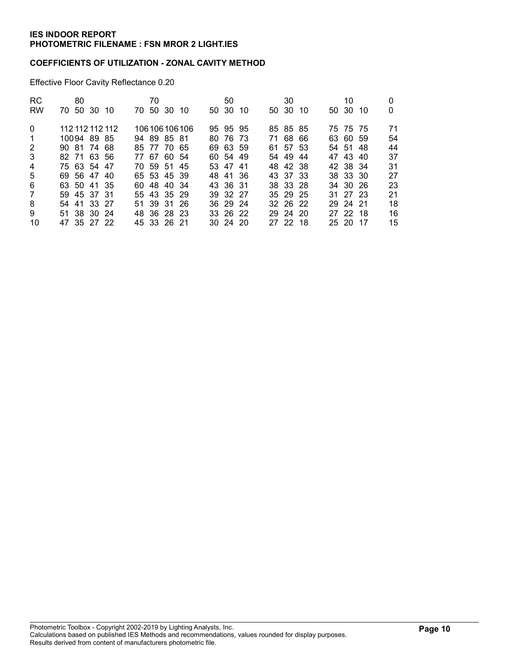### COEFFICIENTS OF UTILIZATION - ZONAL CAVITY METHOD

Effective Floor Cavity Reflectance 0.20

| <b>RC</b>      | 80              |  | 70 |             |                 | 50           |     | 30       |     | 10       |     |    |
|----------------|-----------------|--|----|-------------|-----------------|--------------|-----|----------|-----|----------|-----|----|
| RW             | 70 50 30 10     |  |    | 70 50 30 10 |                 | 50 30        | -10 | 50 30    | -10 | 50 30    | -10 | 0  |
| $\Omega$       | 112 112 112 112 |  |    |             | 106 106 106 106 | 95 95 95     |     | 85 85 85 |     | 75 75 75 |     | 71 |
| $\overline{1}$ | 10094 89 85     |  |    | 94 89 85 81 |                 | 80 76 73     |     | 71 68 66 |     | 63 60 59 |     | 54 |
| 2              | 90 81 74 68     |  |    | 85 77 70 65 |                 | 69 63 59     |     | 61 57 53 |     | 54 51 48 |     | 44 |
| 3              | 82 71 63 56     |  |    | 77 67 60 54 |                 | 60 54 49     |     | 54 49    | -44 | 47 43 40 |     | 37 |
| $\overline{4}$ | 75 63 54 47     |  |    | 70 59 51 45 |                 | 53 47 41     |     | 48 42 38 |     | 42 38 34 |     | 31 |
| 5              | 69 56 47 40     |  |    | 65 53 45 39 |                 | 48 41 36     |     | 43 37 33 |     | 38 33 30 |     | 27 |
| 6              | 63 50 41 35     |  |    | 60 48 40 34 |                 | 43 36 31     |     | 38 33 28 |     | 34 30 26 |     | 23 |
| 7              | 59 45 37 31     |  |    | 55 43 35 29 |                 | 39 32 27     |     | 35 29 25 |     | 31 27 23 |     | 21 |
| 8              | 54 41 33 27     |  |    | 51 39 31 26 |                 | 36 29 24     |     | 32 26 22 |     | 29 24 21 |     | 18 |
| 9              | 51 38 30 24     |  |    | 48 36 28 23 |                 | 33 26 22     |     | 29 24 20 |     | 27 22 18 |     | 16 |
| 10             | 47 35 27 22     |  |    | 45 33 26 21 |                 | $30\,24\,20$ |     | 27 22 18 |     | 25 20 17 |     | 15 |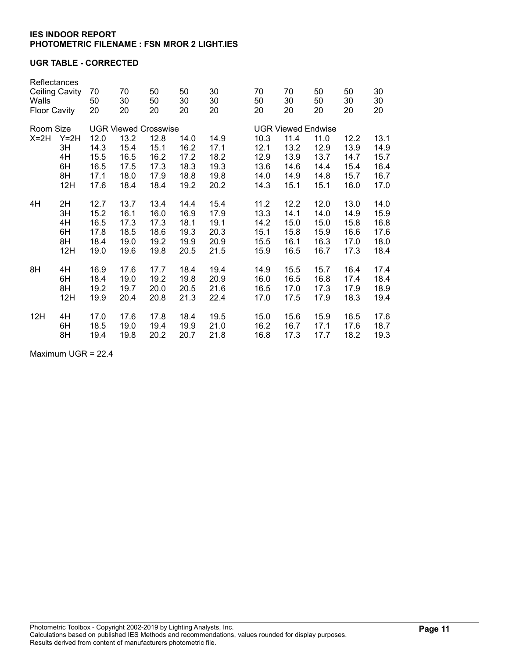### UGR TABLE - CORRECTED

| Reflectances<br><b>Ceiling Cavity</b><br>Walls<br><b>Floor Cavity</b> |        | 70                          | 70       | 50       | 50       | 30       |          | 70                        | 70   | 50   | 50   | 30   |
|-----------------------------------------------------------------------|--------|-----------------------------|----------|----------|----------|----------|----------|---------------------------|------|------|------|------|
|                                                                       |        | 50<br>20                    | 30<br>20 | 50<br>20 | 30<br>20 | 30<br>20 | 50<br>20 | 30                        | 50   | 30   | 30   |      |
|                                                                       |        |                             |          |          |          |          |          |                           | 20   | 20   | 20   | 20   |
| Room Size                                                             |        | <b>UGR Viewed Crosswise</b> |          |          |          |          |          | <b>UGR Viewed Endwise</b> |      |      |      |      |
| $X=2H$                                                                | $Y=2H$ | 12.0                        | 13.2     | 12.8     | 14.0     | 14.9     |          | 10.3                      | 11.4 | 11.0 | 12.2 | 13.1 |
|                                                                       | 3H     | 14.3                        | 15.4     | 15.1     | 16.2     | 17.1     |          | 12.1                      | 13.2 | 12.9 | 13.9 | 14.9 |
|                                                                       | 4H     | 15.5                        | 16.5     | 16.2     | 17.2     | 18.2     |          | 12.9                      | 13.9 | 13.7 | 14.7 | 15.7 |
|                                                                       | 6H     | 16.5                        | 17.5     | 17.3     | 18.3     | 19.3     |          | 13.6                      | 14.6 | 14.4 | 15.4 | 16.4 |
|                                                                       | 8H     | 17.1                        | 18.0     | 17.9     | 18.8     | 19.8     |          | 14.0                      | 14.9 | 14.8 | 15.7 | 16.7 |
|                                                                       | 12H    | 17.6                        | 18.4     | 18.4     | 19.2     | 20.2     |          | 14.3                      | 15.1 | 15.1 | 16.0 | 17.0 |
| 4H                                                                    | 2H     | 12.7                        | 13.7     | 13.4     | 14.4     | 15.4     |          | 11.2                      | 12.2 | 12.0 | 13.0 | 14.0 |
|                                                                       | 3H     | 15.2                        | 16.1     | 16.0     | 16.9     | 17.9     |          | 13.3                      | 14.1 | 14.0 | 14.9 | 15.9 |
|                                                                       | 4H     | 16.5                        | 17.3     | 17.3     | 18.1     | 19.1     |          | 14.2                      | 15.0 | 15.0 | 15.8 | 16.8 |
|                                                                       | 6H     | 17.8                        | 18.5     | 18.6     | 19.3     | 20.3     |          | 15.1                      | 15.8 | 15.9 | 16.6 | 17.6 |
|                                                                       | 8H     | 18.4                        | 19.0     | 19.2     | 19.9     | 20.9     |          | 15.5                      | 16.1 | 16.3 | 17.0 | 18.0 |
|                                                                       | 12H    | 19.0                        | 19.6     | 19.8     | 20.5     | 21.5     |          | 15.9                      | 16.5 | 16.7 | 17.3 | 18.4 |
| 8H                                                                    | 4H     | 16.9                        | 17.6     | 17.7     | 18.4     | 19.4     |          | 14.9                      | 15.5 | 15.7 | 16.4 | 17.4 |
|                                                                       | 6H     | 18.4                        | 19.0     | 19.2     | 19.8     | 20.9     |          | 16.0                      | 16.5 | 16.8 | 17.4 | 18.4 |
|                                                                       | 8H     | 19.2                        | 19.7     | 20.0     | 20.5     | 21.6     |          | 16.5                      | 17.0 | 17.3 | 17.9 | 18.9 |
|                                                                       | 12H    | 19.9                        | 20.4     | 20.8     | 21.3     | 22.4     |          | 17.0                      | 17.5 | 17.9 | 18.3 | 19.4 |
| 12H                                                                   | 4H     | 17.0                        | 17.6     | 17.8     | 18.4     | 19.5     |          | 15.0                      | 15.6 | 15.9 | 16.5 | 17.6 |
|                                                                       | 6H     | 18.5                        | 19.0     | 19.4     | 19.9     | 21.0     |          | 16.2                      | 16.7 | 17.1 | 17.6 | 18.7 |
|                                                                       | 8H     | 19.4                        | 19.8     | 20.2     | 20.7     | 21.8     |          | 16.8                      | 17.3 | 17.7 | 18.2 | 19.3 |

Maximum UGR = 22.4